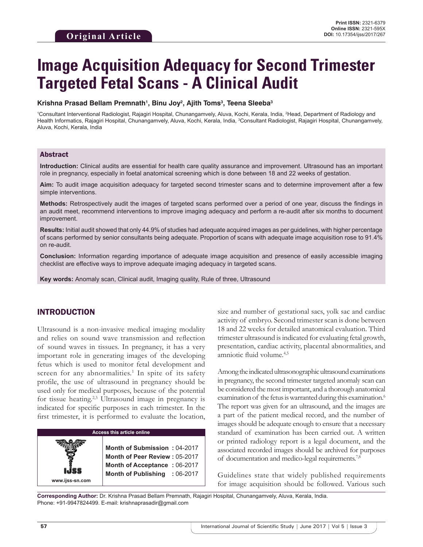# **Image Acquisition Adequacy for Second Trimester Targeted Fetal Scans - A Clinical Audit**

#### **Krishna Prasad Bellam Premnath1 , Binu Joy2 , Ajith Toms3 , Teena Sleeba3**

1 Consultant Interventional Radiologist, Rajagiri Hospital, Chunangamvely, Aluva, Kochi, Kerala, India, 2 Head, Department of Radiology and Health Informatics, Rajagiri Hospital, Chunangamvely, Aluva, Kochi, Kerala, India, <sup>3</sup>Consultant Radiologist, Rajagiri Hospital, Chunangamvely, Aluva, Kochi, Kerala, India

## Abstract

**Introduction:** Clinical audits are essential for health care quality assurance and improvement. Ultrasound has an important role in pregnancy, especially in foetal anatomical screening which is done between 18 and 22 weeks of gestation.

**Aim:** To audit image acquisition adequacy for targeted second trimester scans and to determine improvement after a few simple interventions.

**Methods:** Retrospectively audit the images of targeted scans performed over a period of one year, discuss the findings in an audit meet, recommend interventions to improve imaging adequacy and perform a re-audit after six months to document improvement.

**Results:** Initial audit showed that only 44.9% of studies had adequate acquired images as per guidelines, with higher percentage of scans performed by senior consultants being adequate. Proportion of scans with adequate image acquisition rose to 91.4% on re-audit.

**Conclusion:** Information regarding importance of adequate image acquisition and presence of easily accessible imaging checklist are effective ways to improve adequate imaging adequacy in targeted scans.

**Key words:** Anomaly scan, Clinical audit, Imaging quality, Rule of three, Ultrasound

## INTRODUCTION

Ultrasound is a non-invasive medical imaging modality and relies on sound wave transmission and reflection of sound waves in tissues. In pregnancy, it has a very important role in generating images of the developing fetus which is used to monitor fetal development and screen for any abnormalities.<sup>1</sup> In spite of its safety profile, the use of ultrasound in pregnancy should be used only for medical purposes, because of the potential for tissue heating.<sup>2,3</sup> Ultrasound image in pregnancy is indicated for specific purposes in each trimester. In the first trimester, it is performed to evaluate the location,

# **Access this article online**

**Month of Submission :** 04-2017 **Month of Peer Review :** 05-2017 **Month of Acceptance :** 06-2017 **Month of Publishing :** 06-2017 size and number of gestational sacs, yolk sac and cardiac activity of embryo. Second trimester scan is done between 18 and 22 weeks for detailed anatomical evaluation. Third trimester ultrasound is indicated for evaluating fetal growth, presentation, cardiac activity, placental abnormalities, and amniotic fluid volume.4,5

Among the indicated ultrasonographic ultrasound examinations in pregnancy, the second trimester targeted anomaly scan can be considered the most important, and a thorough anatomical examination of the fetus is warranted during this examination.<sup>6</sup> The report was given for an ultrasound, and the images are a part of the patient medical record, and the number of images should be adequate enough to ensure that a necessary standard of examination has been carried out. A written or printed radiology report is a legal document, and the associated recorded images should be archived for purposes of documentation and medico-legal requirements.7,8

Guidelines state that widely published requirements for image acquisition should be followed. Various such

**Corresponding Author:** Dr. Krishna Prasad Bellam Premnath, Rajagiri Hospital, Chunangamvely, Aluva, Kerala, India. Phone: +91-9947824499. E-mail: krishnaprasadir@gmail.com

**www.ijss-sn.com**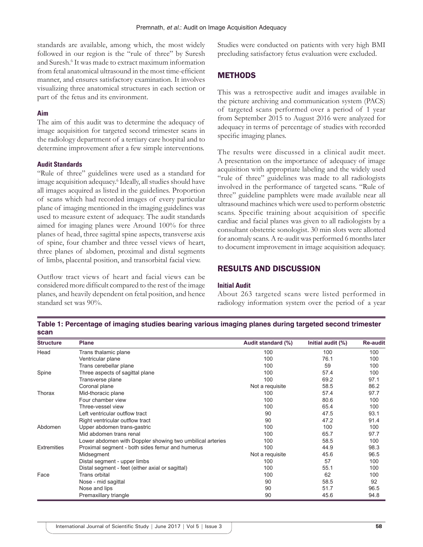standards are available, among which, the most widely followed in our region is the "rule of three" by Suresh and Suresh.6 It was made to extract maximum information from fetal anatomical ultrasound in the most time-efficient manner, and ensures satisfactory examination. It involves visualizing three anatomical structures in each section or part of the fetus and its environment.

### **Aim**

The aim of this audit was to determine the adequacy of image acquisition for targeted second trimester scans in the radiology department of a tertiary care hospital and to determine improvement after a few simple interventions.

#### **Audit Standards**

"Rule of three" guidelines were used as a standard for image acquisition adequacy.<sup>6</sup> Ideally, all studies should have all images acquired as listed in the guidelines. Proportion of scans which had recorded images of every particular plane of imaging mentioned in the imaging guidelines was used to measure extent of adequacy. The audit standards aimed for imaging planes were Around 100% for three planes of head, three sagittal spine aspects, transverse axis of spine, four chamber and three vessel views of heart, three planes of abdomen, proximal and distal segments of limbs, placental position, and transorbital facial view.

Outflow tract views of heart and facial views can be considered more difficult compared to the rest of the image planes, and heavily dependent on fetal position, and hence standard set was 90%.

Studies were conducted on patients with very high BMI precluding satisfactory fetus evaluation were excluded.

# **METHODS**

This was a retrospective audit and images available in the picture archiving and communication system (PACS) of targeted scans performed over a period of 1 year from September 2015 to August 2016 were analyzed for adequacy in terms of percentage of studies with recorded specific imaging planes.

The results were discussed in a clinical audit meet. A presentation on the importance of adequacy of image acquisition with appropriate labeling and the widely used "rule of three" guidelines was made to all radiologists involved in the performance of targeted scans. "Rule of three" guideline pamphlets were made available near all ultrasound machines which were used to perform obstetric scans. Specific training about acquisition of specific cardiac and facial planes was given to all radiologists by a consultant obstetric sonologist. 30 min slots were allotted for anomaly scans. A re-audit was performed 6 months later to document improvement in image acquisition adequacy.

## RESULTS AND DISCUSSION

#### **Initial Audit**

About 263 targeted scans were listed performed in radiology information system over the period of a year

**Table 1: Percentage of imaging studies bearing various imaging planes during targeted second trimester scan**

| <b>Structure</b>   | <b>Plane</b>                                              | Audit standard (%) | Initial audit (%) | <b>Re-audit</b> |
|--------------------|-----------------------------------------------------------|--------------------|-------------------|-----------------|
| Head               | Trans thalamic plane                                      | 100                | 100               | 100             |
|                    | Ventricular plane                                         | 100                | 76.1              | 100             |
|                    | Trans cerebellar plane                                    | 100                | 59                | 100             |
| Spine              | Three aspects of sagittal plane                           | 100                | 57.4              | 100             |
|                    | Transverse plane                                          | 100                | 69.2              | 97.1            |
|                    | Coronal plane                                             | Not a requisite    | 58.5              | 86.2            |
| Thorax             | Mid-thoracic plane                                        | 100                | 57.4              | 97.7            |
|                    | Four chamber view                                         | 100                | 80.6              | 100             |
|                    | Three-vessel view                                         | 100                | 65.4              | 100             |
|                    | Left ventricular outflow tract                            | 90                 | 47.5              | 93.1            |
|                    | Right ventricular outflow tract                           | 90                 | 47.2              | 91.4            |
| Abdomen            | Upper abdomen trans-gastric                               | 100                | 100               | 100             |
|                    | Mid abdomen trans renal                                   | 100                | 65.7              | 97.7            |
|                    | Lower abdomen with Doppler showing two umbilical arteries | 100                | 58.5              | 100             |
| <b>Extremities</b> | Proximal segment - both sides femur and humerus           | 100                | 44.9              | 98.3            |
|                    | Midsegment                                                | Not a requisite    | 45.6              | 96.5            |
|                    | Distal segment - upper limbs                              | 100                | 57                | 100             |
|                    | Distal segment - feet (either axial or sagittal)          | 100                | 55.1              | 100             |
| Face               | Trans orbital                                             | 100                | 62                | 100             |
|                    | Nose - mid sagittal                                       | 90                 | 58.5              | 92              |
|                    | Nose and lips                                             | 90                 | 51.7              | 96.5            |
|                    | Premaxillary triangle                                     | 90                 | 45.6              | 94.8            |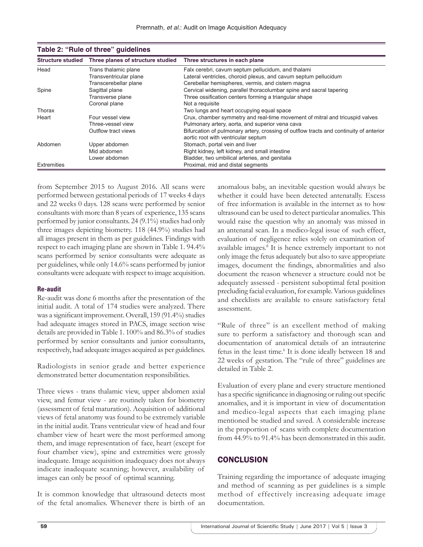| <b>Structure studied</b> | Three planes of structure studied | Three structures in each plane                                                                                                |
|--------------------------|-----------------------------------|-------------------------------------------------------------------------------------------------------------------------------|
| Head                     | Trans thalamic plane              | Falx cerebri, cavum septum pellucidum, and thalami                                                                            |
|                          | Transventricular plane            | Lateral ventricles, choroid plexus, and cavum septum pellucidum                                                               |
|                          | Transcerebellar plane             | Cerebellar hemispheres, vermis, and cistern magna                                                                             |
| Spine                    | Sagittal plane                    | Cervical widening, parallel thoracolumbar spine and sacral tapering                                                           |
|                          | Transverse plane                  | Three ossification centers forming a triangular shape                                                                         |
|                          | Coronal plane                     | Not a requisite                                                                                                               |
| Thorax                   |                                   | Two lungs and heart occupying equal space                                                                                     |
| Heart                    | Four vessel view                  | Crux, chamber symmetry and real-time movement of mitral and tricuspid valves                                                  |
|                          | Three-vessel view                 | Pulmonary artery, aorta, and superior vena cava                                                                               |
|                          | Outflow tract views               | Bifurcation of pulmonary artery, crossing of outflow tracts and continuity of anterior<br>aortic root with ventricular septum |
| Abdomen                  | Upper abdomen                     | Stomach, portal vein and liver                                                                                                |
|                          | Mid abdomen                       | Right kidney, left kidney, and small intestine                                                                                |
|                          | Lower abdomen                     | Bladder, two umbilical arteries, and genitalia                                                                                |
| Extremities              |                                   | Proximal, mid and distal segments                                                                                             |

| Table 2: "Rule of three" guidelines |                                                     |  |  |  |  |  |
|-------------------------------------|-----------------------------------------------------|--|--|--|--|--|
|                                     | Structure studied Three planes of structure studied |  |  |  |  |  |

from September 2015 to August 2016. All scans were performed between gestational periods of 17 weeks 4 days and 22 weeks 0 days. 128 scans were performed by senior consultants with more than 8 years of experience, 135 scans performed by junior consultants. 24 (9.1%) studies had only three images depicting biometry. 118 (44.9%) studies had all images present in them as per guidelines. Findings with respect to each imaging plane are shown in Table 1. 94.4% scans performed by senior consultants were adequate as per guidelines, while only 14.6% scans performed by junior consultants were adequate with respect to image acquisition.

#### **Re-audit**

Re-audit was done 6 months after the presentation of the initial audit. A total of 174 studies were analyzed. There was a significant improvement. Overall, 159 (91.4%) studies had adequate images stored in PACS, image section wise details are provided in Table 1. 100% and 86.3% of studies performed by senior consultants and junior consultants, respectively, had adequate images acquired as per guidelines.

Radiologists in senior grade and better experience demonstrated better documentation responsibilities.

Three views - trans thalamic view, upper abdomen axial view, and femur view - are routinely taken for biometry (assessment of fetal maturation). Acquisition of additional views of fetal anatomy was found to be extremely variable in the initial audit. Trans ventricular view of head and four chamber view of heart were the most performed among them, and image representation of face, heart (except for four chamber view), spine and extremities were grossly inadequate. Image acquisition inadequacy does not always indicate inadequate scanning; however, availability of images can only be proof of optimal scanning.

It is common knowledge that ultrasound detects most of the fetal anomalies. Whenever there is birth of an anomalous baby, an inevitable question would always be whether it could have been detected antenatally. Excess of free information is available in the internet as to how ultrasound can be used to detect particular anomalies. This would raise the question why an anomaly was missed in an antenatal scan. In a medico-legal issue of such effect, evaluation of negligence relies solely on examination of available images.<sup>8</sup> It is hence extremely important to not only image the fetus adequately but also to save appropriate images, document the findings, abnormalities and also document the reason whenever a structure could not be adequately assessed - persistent suboptimal fetal position precluding facial evaluation, for example. Various guidelines and checklists are available to ensure satisfactory fetal assessment.

"Rule of three" is an excellent method of making sure to perform a satisfactory and thorough scan and documentation of anatomical details of an intrauterine fetus in the least time.<sup>6</sup> It is done ideally between 18 and 22 weeks of gestation. The "rule of three" guidelines are detailed in Table 2.

Evaluation of every plane and every structure mentioned has a specific significance in diagnosing or ruling out specific anomalies, and it is important in view of documentation and medico-legal aspects that each imaging plane mentioned be studied and saved. A considerable increase in the proportion of scans with complete documentation from 44.9% to 91.4% has been demonstrated in this audit.

# **CONCLUSION**

Training regarding the importance of adequate imaging and method of scanning as per guidelines is a simple method of effectively increasing adequate image documentation.